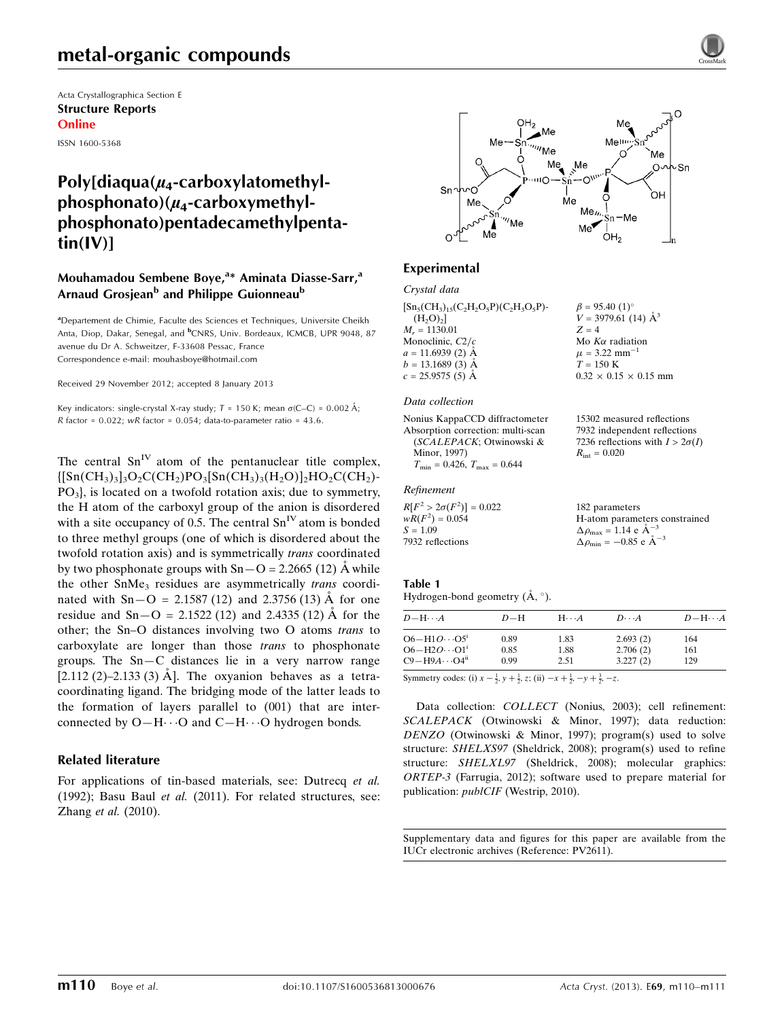Acta Crystallographica Section E Structure Reports Online

ISSN 1600-5368

# Poly[diaqua( $\mu$ <sub>4</sub>-carboxylatomethyl $phosphonato)(\mu_4$ -carboxymethylphosphonato)pentadecamethylpenta $tin(IV)$ ]

### Mouhamadou Sembene Boye,<sup>a</sup>\* Aminata Diasse-Sarr,<sup>a</sup> Arnaud Grosjean<sup>b</sup> and Philippe Guionneau<sup>b</sup>

<sup>a</sup>Departement de Chimie, Faculte des Sciences et Techniques, Universite Cheikh Anta, Diop, Dakar, Senegal, and <sup>b</sup>CNRS, Univ. Bordeaux, ICMCB, UPR 9048, 87 avenue du Dr A. Schweitzer, F-33608 Pessac, France Correspondence e-mail: [mouhasboye@hotmail.com](https://scripts.iucr.org/cgi-bin/cr.cgi?rm=pdfbb&cnor=pv2611&bbid=BB8)

Received 29 November 2012; accepted 8 January 2013

Key indicators: single-crystal X-ray study;  $T = 150$  K; mean  $\sigma$ (C–C) = 0.002 Å; R factor =  $0.022$ ; wR factor =  $0.054$ ; data-to-parameter ratio =  $43.6$ .

The central  $Sn<sup>IV</sup>$  atom of the pentanuclear title complex,  ${[Sn(CH<sub>3</sub>)<sub>3</sub>]<sub>3</sub>O<sub>2</sub>C(CH<sub>2</sub>)PO<sub>3</sub>[Sn(CH<sub>3</sub>)<sub>3</sub>(H<sub>2</sub>O)]<sub>2</sub>HO<sub>2</sub>C(CH<sub>2</sub>)-$ PO3}, is located on a twofold rotation axis; due to symmetry, the H atom of the carboxyl group of the anion is disordered with a site occupancy of 0.5. The central  $Sn<sup>IV</sup>$  atom is bonded to three methyl groups (one of which is disordered about the twofold rotation axis) and is symmetrically trans coordinated by two phosphonate groups with  $Sn-O = 2.2665$  (12) Å while the other SnMe<sub>3</sub> residues are asymmetrically *trans* coordinated with  $Sn-O = 2.1587 (12)$  and 2.3756 (13) Å for one residue and  $Sn-O = 2.1522 (12)$  and 2.4335 (12) Å for the other; the Sn–O distances involving two O atoms trans to carboxylate are longer than those trans to phosphonate groups. The Sn—C distances lie in a very narrow range [2.112 (2)–2.133 (3)  $\AA$ ]. The oxyanion behaves as a tetracoordinating ligand. The bridging mode of the latter leads to the formation of layers parallel to (001) that are interconnected by  $O-H \cdots O$  and  $C-H \cdots O$  hydrogen bonds.

### Related literature

For applications of tin-based materials, see: Dutrecq et al. (1992); Basu Baul et al. (2011). For related structures, see: Zhang et al. (2010).



## Experimental

Crystal data

| $[Sn_5(CH_3)_{15}(C_2H_2O_5P)(C_2H_3O_5P)$ - | $\beta = 95.40$ (1) <sup>o</sup>  |
|----------------------------------------------|-----------------------------------|
| (H <sub>2</sub> O) <sub>2</sub>              | $V = 3979.61$ (14) $\AA^3$        |
| $M_r = 1130.01$                              | $Z = 4$                           |
| Monoclinic, $C2/c$                           | Mo $K\alpha$ radiation            |
| $a = 11.6939$ (2) Å                          | $\mu = 3.22$ mm <sup>-1</sup>     |
| $b = 13.1689$ (3) Å                          | $T = 150 \text{ K}$               |
| $c = 25.9575(5)$ Å                           | $0.32 \times 0.15 \times 0.15$ mm |
|                                              |                                   |

#### Data collection

Nonius KappaCCD diffractometer Absorption correction: multi-scan (SCALEPACK; Otwinowski & Minor, 1997)  $T_{\text{min}} = 0.426$ ,  $T_{\text{max}} = 0.644$ 

#### Refinement

| $R[F^2 > 2\sigma(F^2)] = 0.022$ | 182 parameters                                             |
|---------------------------------|------------------------------------------------------------|
| $wR(F^2) = 0.054$               | H-atom parameters constrained                              |
| $S = 1.09$                      | $\Delta \rho_{\text{max}} = 1.14 \text{ e} \text{ Å}^{-3}$ |
| 7932 reflections                | $\Delta \rho_{\text{min}} = -0.85$ e $\AA^{-3}$            |

#### Table 1

Hydrogen-bond geometry  $(A, \circ)$ .

| $D - H \cdots A$       | $D-H$ | $H \cdots A$ | $D\cdots A$ | $D - H \cdots A$ |
|------------------------|-------|--------------|-------------|------------------|
| $O6 - H1O \cdots O5^i$ | 0.89  | 1.83         | 2.693(2)    | 164              |
| $O6 - H2O \cdots O1^i$ | 0.85  | 1.88         | 2.706(2)    | 161              |
| $C9 - H9A \cdots O4ii$ | 0.99  | 2.51         | 3.227(2)    | 129              |
|                        |       |              |             |                  |

15302 measured reflections 7932 independent reflections 7236 reflections with  $I > 2\sigma(I)$ 

 $R_{\rm int} = 0.020$ 

Symmetry codes: (i)  $x - \frac{1}{2}$ ,  $y + \frac{1}{2}$ , z; (ii)  $-x + \frac{1}{2}$ ,  $-y + \frac{3}{2}$ ,  $-z$ .

Data collection: COLLECT (Nonius, 2003); cell refinement: SCALEPACK (Otwinowski & Minor, 1997); data reduction: DENZO (Otwinowski & Minor, 1997); program(s) used to solve structure: SHELXS97 (Sheldrick, 2008); program(s) used to refine structure: SHELXL97 (Sheldrick, 2008); molecular graphics: ORTEP-3 (Farrugia, 2012); software used to prepare material for publication: publCIF (Westrip, 2010).

Supplementary data and figures for this paper are available from the IUCr electronic archives (Reference: PV2611).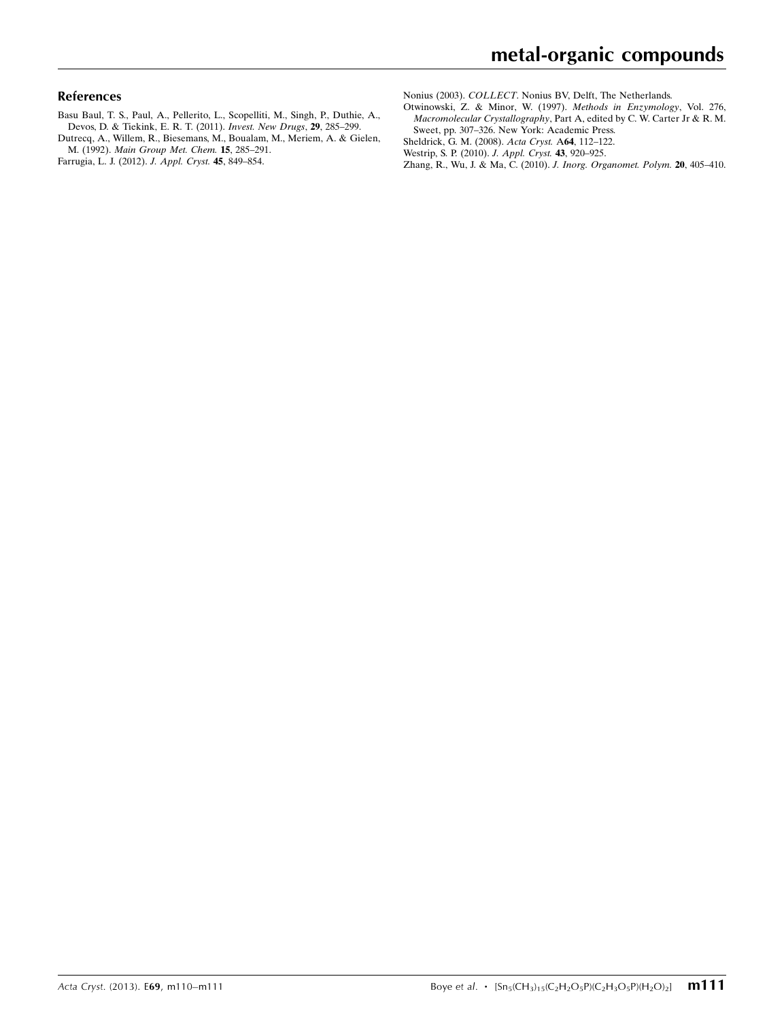#### References

- [Basu Baul, T. S., Paul, A., Pellerito, L., Scopelliti, M., Singh, P., Duthie, A.,](https://scripts.iucr.org/cgi-bin/cr.cgi?rm=pdfbb&cnor=pv2611&bbid=BB1) [Devos, D. & Tiekink, E. R. T. \(2011\).](https://scripts.iucr.org/cgi-bin/cr.cgi?rm=pdfbb&cnor=pv2611&bbid=BB1) Invest. New Drugs, 29, 285–299.
- [Dutrecq, A., Willem, R., Biesemans, M., Boualam, M., Meriem, A. & Gielen,](https://scripts.iucr.org/cgi-bin/cr.cgi?rm=pdfbb&cnor=pv2611&bbid=BB2) M. (1992). [Main Group Met. Chem.](https://scripts.iucr.org/cgi-bin/cr.cgi?rm=pdfbb&cnor=pv2611&bbid=BB2) 15, 285–291.
- [Farrugia, L. J. \(2012\).](https://scripts.iucr.org/cgi-bin/cr.cgi?rm=pdfbb&cnor=pv2611&bbid=BB3) J. Appl. Cryst. 45, 849–854.

Nonius (2003). COLLECT[. Nonius BV, Delft, The Netherlands.](https://scripts.iucr.org/cgi-bin/cr.cgi?rm=pdfbb&cnor=pv2611&bbid=BB4)

- [Otwinowski, Z. & Minor, W. \(1997\).](https://scripts.iucr.org/cgi-bin/cr.cgi?rm=pdfbb&cnor=pv2611&bbid=BB5) Methods in Enzymology, Vol. 276, Macromolecular Crystallography[, Part A, edited by C. W. Carter Jr & R. M.](https://scripts.iucr.org/cgi-bin/cr.cgi?rm=pdfbb&cnor=pv2611&bbid=BB5) [Sweet, pp. 307–326. New York: Academic Press.](https://scripts.iucr.org/cgi-bin/cr.cgi?rm=pdfbb&cnor=pv2611&bbid=BB5)
- [Sheldrick, G. M. \(2008\).](https://scripts.iucr.org/cgi-bin/cr.cgi?rm=pdfbb&cnor=pv2611&bbid=BB6) Acta Cryst. A64, 112–122.
- [Westrip, S. P. \(2010\).](https://scripts.iucr.org/cgi-bin/cr.cgi?rm=pdfbb&cnor=pv2611&bbid=BB7) J. Appl. Cryst. 43, 920–925.
- [Zhang, R., Wu, J. & Ma, C. \(2010\).](https://scripts.iucr.org/cgi-bin/cr.cgi?rm=pdfbb&cnor=pv2611&bbid=BB8) J. Inorg. Organomet. Polym. 20, 405–410.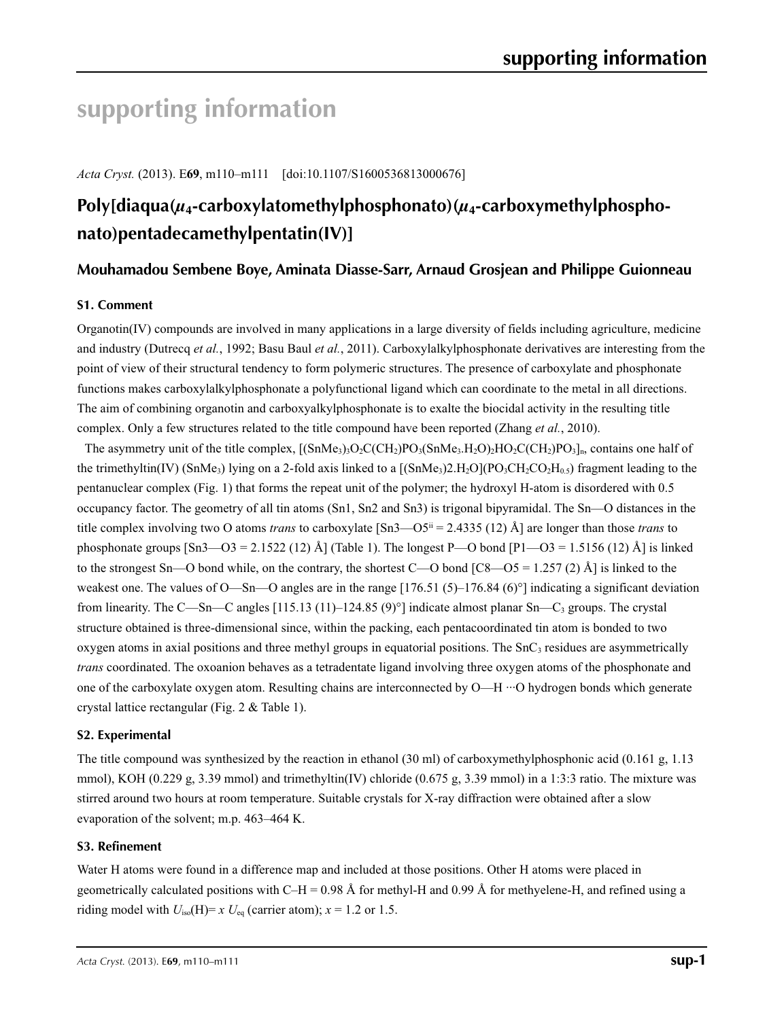# **supporting information**

*Acta Cryst.* (2013). E**69**, m110–m111 [doi:10.1107/S1600536813000676]

# **Poly[diaqua(***µ***4-carboxylatomethylphosphonato)(***µ***4-carboxymethylphosphonato)pentadecamethylpentatin(IV)]**

# **Mouhamadou Sembene Boye, Aminata Diasse-Sarr, Arnaud Grosjean and Philippe Guionneau**

### **S1. Comment**

Organotin(IV) compounds are involved in many applications in a large diversity of fields including agriculture, medicine and industry (Dutrecq *et al.*, 1992; Basu Baul *et al.*, 2011). Carboxylalkylphosphonate derivatives are interesting from the point of view of their structural tendency to form polymeric structures. The presence of carboxylate and phosphonate functions makes carboxylalkylphosphonate a polyfunctional ligand which can coordinate to the metal in all directions. The aim of combining organotin and carboxyalkylphosphonate is to exalte the biocidal activity in the resulting title complex. Only a few structures related to the title compound have been reported (Zhang *et al.*, 2010).

The asymmetry unit of the title complex,  $[(SnMe<sub>3</sub>)<sub>3</sub>O<sub>2</sub>C(CH<sub>2</sub>)PO<sub>3</sub>(SnMe<sub>3</sub>,H<sub>2</sub>O<sub>2</sub>HO<sub>2</sub>CO(H<sub>2</sub>)PO<sub>3</sub>]<sub>n</sub>$ , contains one half of the trimethyltin(IV) (SnMe<sub>3</sub>) lying on a 2-fold axis linked to a  $[(SnMe<sub>3</sub>)2.H<sub>2</sub>O](PO<sub>3</sub>CH<sub>2</sub>CO<sub>2</sub>H<sub>0.5</sub>)$  fragment leading to the pentanuclear complex (Fig. 1) that forms the repeat unit of the polymer; the hydroxyl H-atom is disordered with 0.5 occupancy factor. The geometry of all tin atoms (Sn1, Sn2 and Sn3) is trigonal bipyramidal. The Sn—O distances in the title complex involving two O atoms *trans* to carboxylate  $[Sn3—OS^{ii} = 2.4335 (12)$  Å] are longer than those *trans* to phosphonate groups  $[Sn3—O3=2.1522(12)$  Å] (Table 1). The longest P—O bond  $[P1—O3=1.5156(12)$  Å] is linked to the strongest Sn—O bond while, on the contrary, the shortest C—O bond  $\left[ C8 - 05 = 1.257 (2)$  Å] is linked to the weakest one. The values of O—Sn—O angles are in the range  $[176.51 (5)-176.84 (6)°]$  indicating a significant deviation from linearity. The C—Sn—C angles  $[115.13 (11)$ –124.85 (9)°] indicate almost planar Sn—C<sub>3</sub> groups. The crystal structure obtained is three-dimensional since, within the packing, each pentacoordinated tin atom is bonded to two oxygen atoms in axial positions and three methyl groups in equatorial positions. The  $SnC<sub>3</sub>$  residues are asymmetrically *trans* coordinated. The oxoanion behaves as a tetradentate ligand involving three oxygen atoms of the phosphonate and one of the carboxylate oxygen atom. Resulting chains are interconnected by O—H ···O hydrogen bonds which generate crystal lattice rectangular (Fig. 2 & Table 1).

### **S2. Experimental**

The title compound was synthesized by the reaction in ethanol (30 ml) of carboxymethylphosphonic acid (0.161 g, 1.13 mmol), KOH (0.229 g, 3.39 mmol) and trimethyltin(IV) chloride (0.675 g, 3.39 mmol) in a 1:3:3 ratio. The mixture was stirred around two hours at room temperature. Suitable crystals for X-ray diffraction were obtained after a slow evaporation of the solvent; m.p. 463–464 K.

#### **S3. Refinement**

Water H atoms were found in a difference map and included at those positions. Other H atoms were placed in geometrically calculated positions with C–H = 0.98 Å for methyl-H and 0.99 Å for methyelene-H, and refined using a riding model with  $U_{\text{iso}}(H) = x U_{\text{eq}}$  (carrier atom);  $x = 1.2$  or 1.5.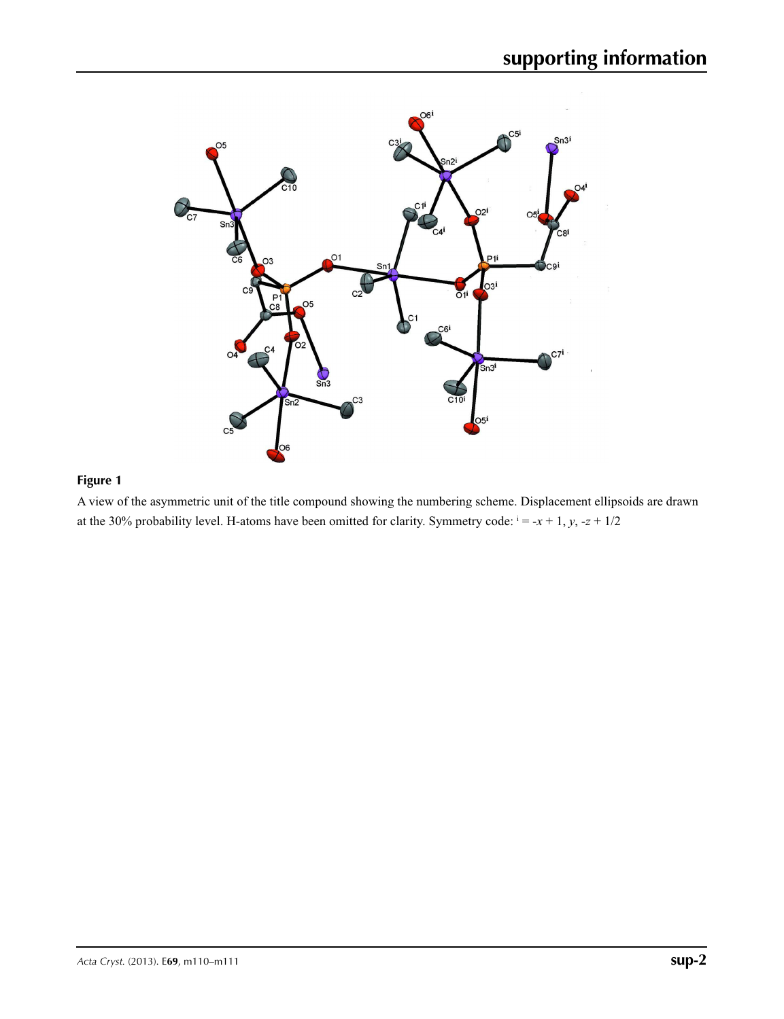

# **Figure 1**

A view of the asymmetric unit of the title compound showing the numbering scheme. Displacement ellipsoids are drawn at the 30% probability level. H-atoms have been omitted for clarity. Symmetry code:  $i = -x + 1$ ,  $y$ ,  $-z + 1/2$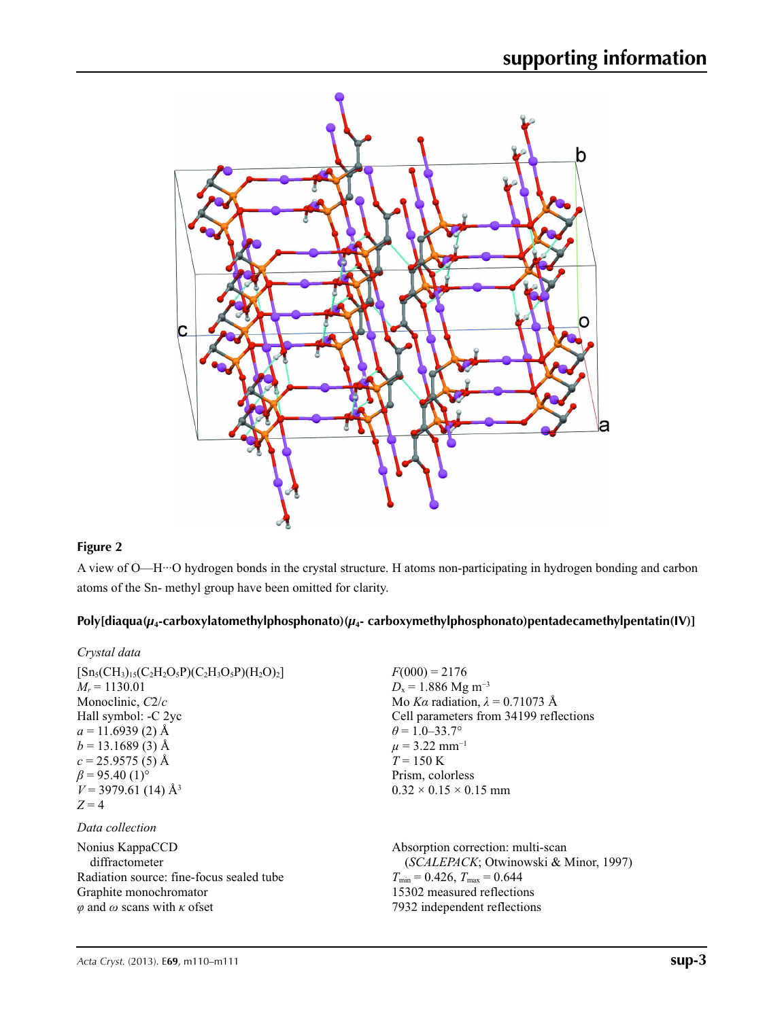

# **Figure 2**

A view of O—H···O hydrogen bonds in the crystal structure. H atoms non-participating in hydrogen bonding and carbon atoms of the Sn- methyl group have been omitted for clarity.

## **Poly[diaqua(***µ***4-carboxylatomethylphosphonato)(***µ***4- carboxymethylphosphonato)pentadecamethylpentatin(IV)]**

| Crystal data                                                                                                                                                                                                                                                            |                                                                                                                                                                                                                                                                                  |
|-------------------------------------------------------------------------------------------------------------------------------------------------------------------------------------------------------------------------------------------------------------------------|----------------------------------------------------------------------------------------------------------------------------------------------------------------------------------------------------------------------------------------------------------------------------------|
| $[Sn_5(CH_3)_{15}(C_2H_2O_5P)(C_2H_3O_5P)(H_2O)_2]$<br>$M_r = 1130.01$<br>Monoclinic, $C2/c$<br>Hall symbol: -C 2yc<br>$a = 11.6939(2)$ Å<br>$b = 13.1689(3)$ Å<br>$c = 25.9575(5)$ Å<br>$\beta$ = 95.40 (1) <sup>o</sup><br>$V = 3979.61$ (14) Å <sup>3</sup><br>$Z=4$ | $F(000) = 2176$<br>$D_x = 1.886$ Mg m <sup>-3</sup><br>Mo Ka radiation, $\lambda = 0.71073$ Å<br>Cell parameters from 34199 reflections<br>$\theta$ = 1.0–33.7°<br>$\mu$ = 3.22 mm <sup>-1</sup><br>$T = 150 \text{ K}$<br>Prism, colorless<br>$0.32 \times 0.15 \times 0.15$ mm |
| Data collection                                                                                                                                                                                                                                                         |                                                                                                                                                                                                                                                                                  |
| Nonius KappaCCD<br>diffractometer<br>Radiation source: fine-focus sealed tube<br>Graphite monochromator<br>$\varphi$ and $\omega$ scans with $\kappa$ of set                                                                                                            | Absorption correction: multi-scan<br>(SCALEPACK; Otwinowski & Minor, 1997)<br>$T_{\min}$ = 0.426, $T_{\max}$ = 0.644<br>15302 measured reflections<br>7932 independent reflections                                                                                               |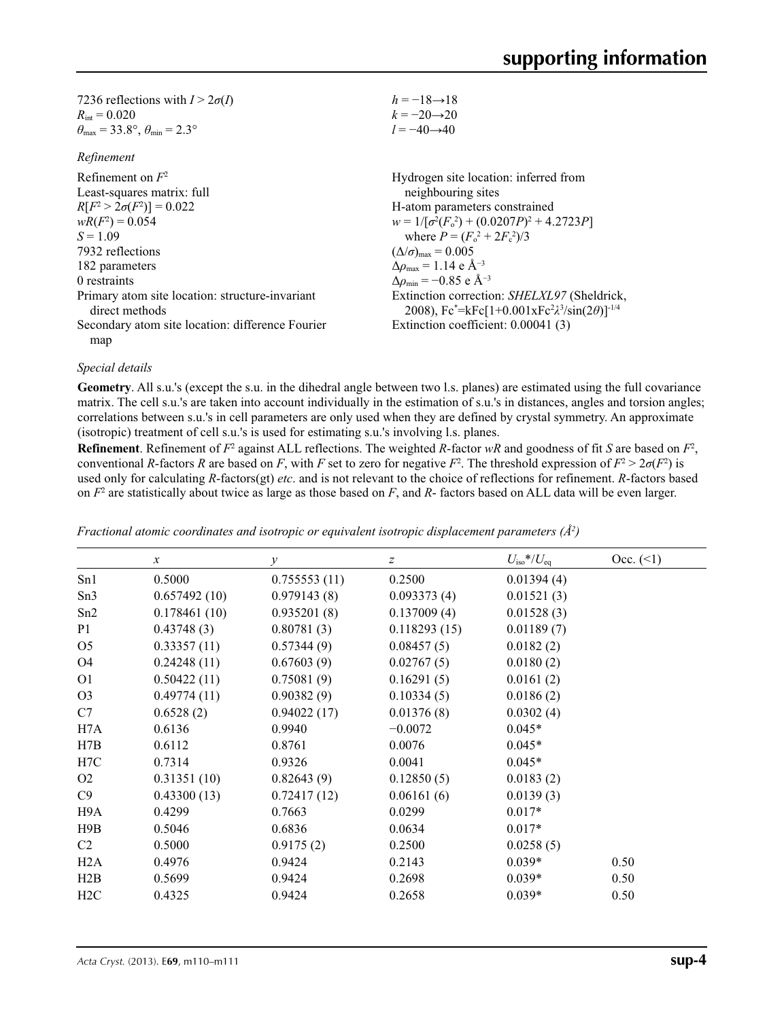| 7236 reflections with $I > 2\sigma(I)$                                  |
|-------------------------------------------------------------------------|
| $R_{\rm int} = 0.020$                                                   |
| $\theta_{\text{max}} = 33.8^{\circ}, \theta_{\text{min}} = 2.3^{\circ}$ |

#### *Refinement*

| refinement                                                        |                                                                                                               |
|-------------------------------------------------------------------|---------------------------------------------------------------------------------------------------------------|
| Refinement on $F^2$                                               | Hydrogen site location: inferred from                                                                         |
| Least-squares matrix: full                                        | neighbouring sites                                                                                            |
| $R[F^2 > 2\sigma(F^2)] = 0.022$                                   | H-atom parameters constrained                                                                                 |
| $wR(F^2) = 0.054$                                                 | $w = 1/[\sigma^2(F_0^2) + (0.0207P)^2 + 4.2723P]$                                                             |
| $S = 1.09$                                                        | where $P = (F_o^2 + 2F_c^2)/3$                                                                                |
| 7932 reflections                                                  | $(\Delta/\sigma)_{\text{max}} = 0.005$                                                                        |
| 182 parameters                                                    | $\Delta \rho_{\rm max} = 1.14 \text{ e } \text{\AA}^{-3}$                                                     |
| 0 restraints                                                      | $\Delta\rho_{\rm min} = -0.85$ e Å <sup>-3</sup>                                                              |
| Primary atom site location: structure-invariant<br>direct methods | Extinction correction: SHELXL97 (Sheldrick,<br>2008), $Fc^* = kFc[1+0.001xFc^2\lambda^3/sin(2\theta)]^{-1/4}$ |
| Secondary atom site location: difference Fourier                  | Extinction coefficient: 0.00041 (3)                                                                           |
| map                                                               |                                                                                                               |

#### *Special details*

**Geometry**. All s.u.'s (except the s.u. in the dihedral angle between two l.s. planes) are estimated using the full covariance matrix. The cell s.u.'s are taken into account individually in the estimation of s.u.'s in distances, angles and torsion angles; correlations between s.u.'s in cell parameters are only used when they are defined by crystal symmetry. An approximate (isotropic) treatment of cell s.u.'s is used for estimating s.u.'s involving l.s. planes.

 $h = -18 \rightarrow 18$  $k = -20 \rightarrow 20$  $l = -40 \rightarrow 40$ 

**Refinement**. Refinement of  $F^2$  against ALL reflections. The weighted  $R$ -factor  $wR$  and goodness of fit  $S$  are based on  $F^2$ , conventional *R*-factors *R* are based on *F*, with *F* set to zero for negative *F*<sup>2</sup>. The threshold expression of  $F^2 > 2\sigma(F^2)$  is used only for calculating *R*-factors(gt) *etc*. and is not relevant to the choice of reflections for refinement. *R*-factors based on *F*<sup>2</sup> are statistically about twice as large as those based on *F*, and *R*- factors based on ALL data will be even larger.

| $\boldsymbol{x}$ | $\mathcal V$ | z            | $U_{\rm iso}$ */ $U_{\rm eq}$ | Occ. (2) |
|------------------|--------------|--------------|-------------------------------|----------|
| 0.5000           | 0.755553(11) | 0.2500       | 0.01394(4)                    |          |
| 0.657492(10)     | 0.979143(8)  | 0.093373(4)  | 0.01521(3)                    |          |
| 0.178461(10)     | 0.935201(8)  | 0.137009(4)  | 0.01528(3)                    |          |
| 0.43748(3)       | 0.80781(3)   | 0.118293(15) | 0.01189(7)                    |          |
| 0.33357(11)      | 0.57344(9)   | 0.08457(5)   | 0.0182(2)                     |          |
| 0.24248(11)      | 0.67603(9)   | 0.02767(5)   | 0.0180(2)                     |          |
| 0.50422(11)      | 0.75081(9)   | 0.16291(5)   | 0.0161(2)                     |          |
| 0.49774(11)      | 0.90382(9)   | 0.10334(5)   | 0.0186(2)                     |          |
| 0.6528(2)        | 0.94022(17)  | 0.01376(8)   | 0.0302(4)                     |          |
| 0.6136           | 0.9940       | $-0.0072$    | $0.045*$                      |          |
| 0.6112           | 0.8761       | 0.0076       | $0.045*$                      |          |
| 0.7314           | 0.9326       | 0.0041       | $0.045*$                      |          |
| 0.31351(10)      | 0.82643(9)   | 0.12850(5)   | 0.0183(2)                     |          |
| 0.43300(13)      | 0.72417(12)  | 0.06161(6)   | 0.0139(3)                     |          |
| 0.4299           | 0.7663       | 0.0299       | $0.017*$                      |          |
| 0.5046           | 0.6836       | 0.0634       | $0.017*$                      |          |
| 0.5000           | 0.9175(2)    | 0.2500       | 0.0258(5)                     |          |
| 0.4976           | 0.9424       | 0.2143       | $0.039*$                      | 0.50     |
| 0.5699           | 0.9424       | 0.2698       | $0.039*$                      | 0.50     |
| 0.4325           | 0.9424       | 0.2658       | $0.039*$                      | 0.50     |
|                  |              |              |                               |          |

*Fractional atomic coordinates and isotropic or equivalent isotropic displacement parameters (Å<sup>2</sup>)*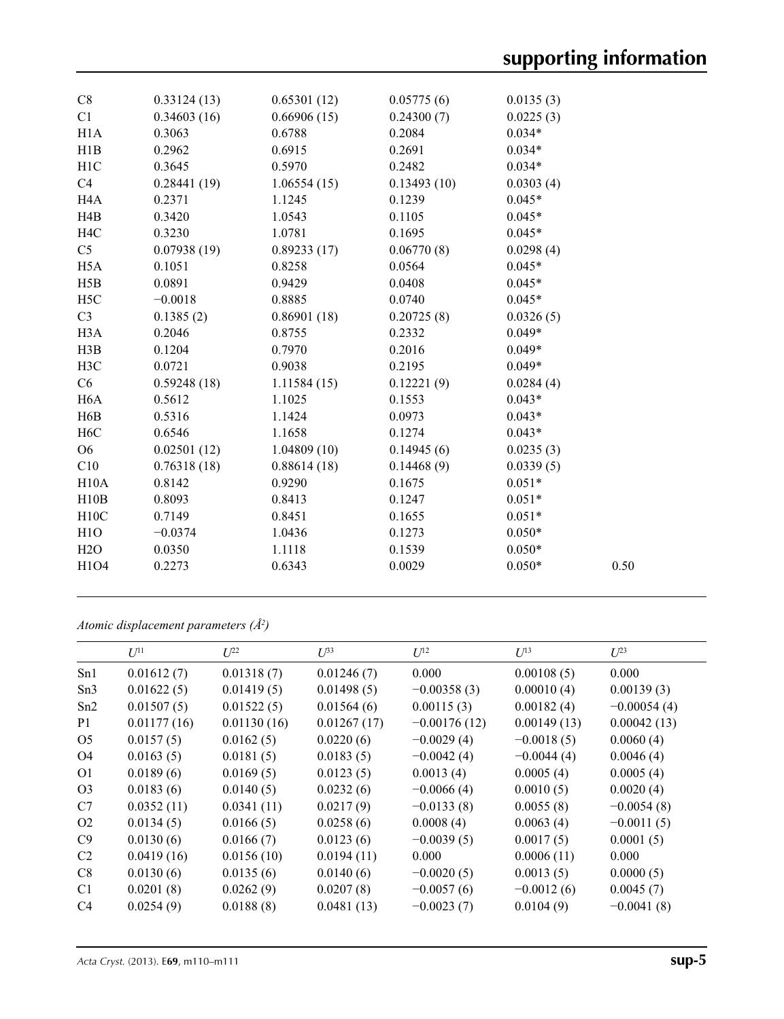| C8               | 0.33124(13) | 0.65301(12) | 0.05775(6)  | 0.0135(3) |      |
|------------------|-------------|-------------|-------------|-----------|------|
| C1               | 0.34603(16) | 0.66906(15) | 0.24300(7)  | 0.0225(3) |      |
| H1A              | 0.3063      | 0.6788      | 0.2084      | $0.034*$  |      |
| H1B              | 0.2962      | 0.6915      | 0.2691      | $0.034*$  |      |
| H1C              | 0.3645      | 0.5970      | 0.2482      | $0.034*$  |      |
| C4               | 0.28441(19) | 1.06554(15) | 0.13493(10) | 0.0303(4) |      |
| H <sub>4</sub> A | 0.2371      | 1.1245      | 0.1239      | $0.045*$  |      |
| H4B              | 0.3420      | 1.0543      | 0.1105      | $0.045*$  |      |
| H <sub>4</sub> C | 0.3230      | 1.0781      | 0.1695      | $0.045*$  |      |
| C <sub>5</sub>   | 0.07938(19) | 0.89233(17) | 0.06770(8)  | 0.0298(4) |      |
| H <sub>5</sub> A | 0.1051      | 0.8258      | 0.0564      | $0.045*$  |      |
| H5B              | 0.0891      | 0.9429      | 0.0408      | $0.045*$  |      |
| H <sub>5</sub> C | $-0.0018$   | 0.8885      | 0.0740      | $0.045*$  |      |
| C <sub>3</sub>   | 0.1385(2)   | 0.86901(18) | 0.20725(8)  | 0.0326(5) |      |
| H <sub>3</sub> A | 0.2046      | 0.8755      | 0.2332      | $0.049*$  |      |
| H3B              | 0.1204      | 0.7970      | 0.2016      | $0.049*$  |      |
| H3C              | 0.0721      | 0.9038      | 0.2195      | $0.049*$  |      |
| C6               | 0.59248(18) | 1.11584(15) | 0.12221(9)  | 0.0284(4) |      |
| H <sub>6</sub> A | 0.5612      | 1.1025      | 0.1553      | $0.043*$  |      |
| H <sub>6</sub> B | 0.5316      | 1.1424      | 0.0973      | $0.043*$  |      |
| H <sub>6</sub> C | 0.6546      | 1.1658      | 0.1274      | $0.043*$  |      |
| O <sub>6</sub>   | 0.02501(12) | 1.04809(10) | 0.14945(6)  | 0.0235(3) |      |
| C10              | 0.76318(18) | 0.88614(18) | 0.14468(9)  | 0.0339(5) |      |
| H10A             | 0.8142      | 0.9290      | 0.1675      | $0.051*$  |      |
| H10B             | 0.8093      | 0.8413      | 0.1247      | $0.051*$  |      |
| H10C             | 0.7149      | 0.8451      | 0.1655      | $0.051*$  |      |
| H1O              | $-0.0374$   | 1.0436      | 0.1273      | $0.050*$  |      |
| H2O              | 0.0350      | 1.1118      | 0.1539      | $0.050*$  |      |
| H1O4             | 0.2273      | 0.6343      | 0.0029      | $0.050*$  | 0.50 |
|                  |             |             |             |           |      |

*Atomic displacement parameters (Å2 )*

|                 | $U^{11}$    | $L^{22}$    | $\mathcal{L}^{\beta 3}$ | $U^{12}$       | $U^{13}$     | $U^{23}$      |
|-----------------|-------------|-------------|-------------------------|----------------|--------------|---------------|
| Sn1             | 0.01612(7)  | 0.01318(7)  | 0.01246(7)              | 0.000          | 0.00108(5)   | 0.000         |
| Sn <sub>3</sub> | 0.01622(5)  | 0.01419(5)  | 0.01498(5)              | $-0.00358(3)$  | 0.00010(4)   | 0.00139(3)    |
| Sn2             | 0.01507(5)  | 0.01522(5)  | 0.01564(6)              | 0.00115(3)     | 0.00182(4)   | $-0.00054(4)$ |
| P <sub>1</sub>  | 0.01177(16) | 0.01130(16) | 0.01267(17)             | $-0.00176(12)$ | 0.00149(13)  | 0.00042(13)   |
| O <sub>5</sub>  | 0.0157(5)   | 0.0162(5)   | 0.0220(6)               | $-0.0029(4)$   | $-0.0018(5)$ | 0.0060(4)     |
| O4              | 0.0163(5)   | 0.0181(5)   | 0.0183(5)               | $-0.0042(4)$   | $-0.0044(4)$ | 0.0046(4)     |
| O <sub>1</sub>  | 0.0189(6)   | 0.0169(5)   | 0.0123(5)               | 0.0013(4)      | 0.0005(4)    | 0.0005(4)     |
| O <sub>3</sub>  | 0.0183(6)   | 0.0140(5)   | 0.0232(6)               | $-0.0066(4)$   | 0.0010(5)    | 0.0020(4)     |
| C7              | 0.0352(11)  | 0.0341(11)  | 0.0217(9)               | $-0.0133(8)$   | 0.0055(8)    | $-0.0054(8)$  |
| O <sub>2</sub>  | 0.0134(5)   | 0.0166(5)   | 0.0258(6)               | 0.0008(4)      | 0.0063(4)    | $-0.0011(5)$  |
| C9              | 0.0130(6)   | 0.0166(7)   | 0.0123(6)               | $-0.0039(5)$   | 0.0017(5)    | 0.0001(5)     |
| C <sub>2</sub>  | 0.0419(16)  | 0.0156(10)  | 0.0194(11)              | 0.000          | 0.0006(11)   | 0.000         |
| C8              | 0.0130(6)   | 0.0135(6)   | 0.0140(6)               | $-0.0020(5)$   | 0.0013(5)    | 0.0000(5)     |
| C <sub>1</sub>  | 0.0201(8)   | 0.0262(9)   | 0.0207(8)               | $-0.0057(6)$   | $-0.0012(6)$ | 0.0045(7)     |
| C <sub>4</sub>  | 0.0254(9)   | 0.0188(8)   | 0.0481(13)              | $-0.0023(7)$   | 0.0104(9)    | $-0.0041(8)$  |
|                 |             |             |                         |                |              |               |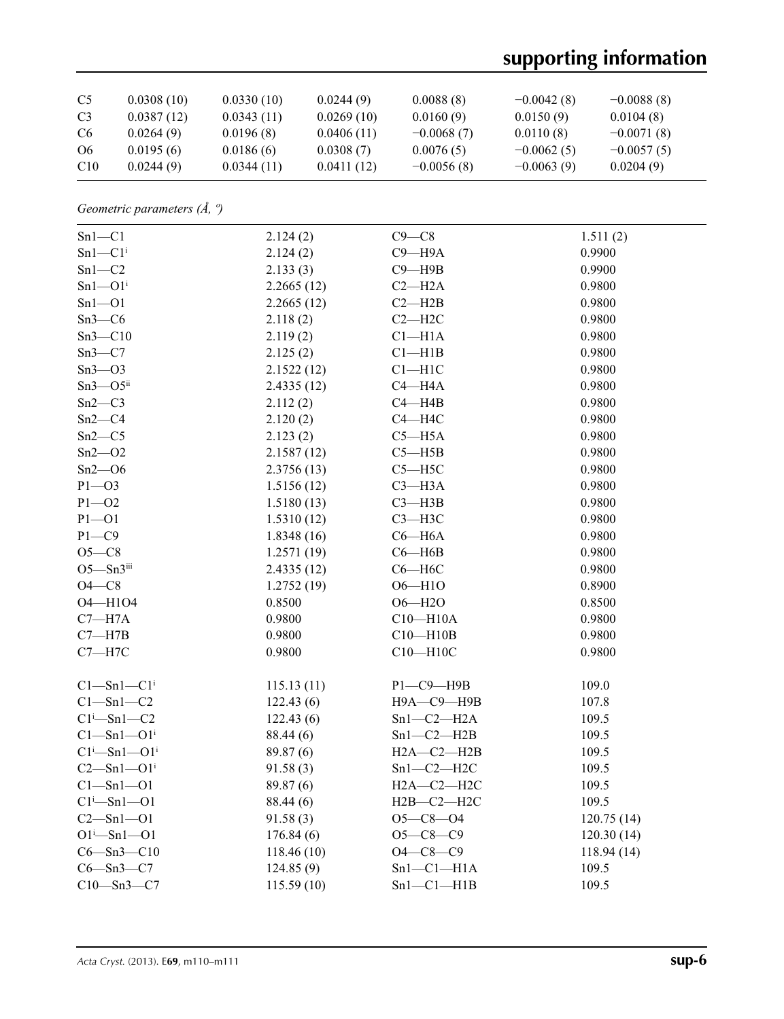# **supporting information**

| C <sub>5</sub>  | 0.0308(10) | 0.0330(10) | 0.0244(9)  | 0.0088(8)    | $-0.0042(8)$ | $-0.0088(8)$ |
|-----------------|------------|------------|------------|--------------|--------------|--------------|
| C <sub>3</sub>  | 0.0387(12) | 0.0343(11) | 0.0269(10) | 0.0160(9)    | 0.0150(9)    | 0.0104(8)    |
| C <sub>6</sub>  | 0.0264(9)  | 0.0196(8)  | 0.0406(11) | $-0.0068(7)$ | 0.0110(8)    | $-0.0071(8)$ |
| O6              | 0.0195(6)  | 0.0186(6)  | 0.0308(7)  | 0.0076(5)    | $-0.0062(5)$ | $-0.0057(5)$ |
| C <sub>10</sub> | 0.0244(9)  | 0.0344(11) | 0.0411(12) | $-0.0056(8)$ | $-0.0063(9)$ | 0.0204(9)    |

*Geometric parameters (Å, º)*

| $Sn1-C1$                     | 2.124(2)   | $C9 - C8$        | 1.511(2)   |
|------------------------------|------------|------------------|------------|
| $Sn1-C1i$                    | 2.124(2)   | $C9 - H9A$       | 0.9900     |
| $Sn1-C2$                     | 2.133(3)   | $C9 - H9B$       | 0.9900     |
| $Sn1 - O1i$                  | 2.2665(12) | $C2 - H2A$       | 0.9800     |
| $Sn1 - O1$                   | 2.2665(12) | $C2 - H2B$       | 0.9800     |
| $Sn3-C6$                     | 2.118(2)   | $C2 - H2C$       | 0.9800     |
| $Sn3-C10$                    | 2.119(2)   | $Cl-H1A$         | 0.9800     |
| $Sn3-C7$                     | 2.125(2)   | $Cl-H1B$         | 0.9800     |
| $Sn3 - O3$                   | 2.1522(12) | $C1 - H1C$       | 0.9800     |
| $Sn3 - O5$ ii                | 2.4335(12) | $C4 - H4A$       | 0.9800     |
| $Sn2-C3$                     | 2.112(2)   | $C4 - H4B$       | 0.9800     |
| $Sn2-C4$                     | 2.120(2)   | $C4 - H4C$       | 0.9800     |
| $Sn2-C5$                     | 2.123(2)   | $C5 - H5A$       | 0.9800     |
| $Sn2 - O2$                   | 2.1587(12) | $C5 - H5B$       | 0.9800     |
| $Sn2 - O6$                   | 2.3756(13) | $C5 - H5C$       | 0.9800     |
| $P1 - O3$                    | 1.5156(12) | $C3 - H3A$       | 0.9800     |
| $P1 - O2$                    | 1.5180(13) | $C3 - H3B$       | 0.9800     |
| $P1 - O1$                    | 1.5310(12) | $C3 - H3C$       | 0.9800     |
| $P1 - C9$                    | 1.8348(16) | $C6 - H6A$       | 0.9800     |
| $O5-C8$                      | 1.2571(19) | $C6 - H6B$       | 0.9800     |
| $O5 - Sn3$ iii               | 2.4335(12) | $C6 - H6C$       | 0.9800     |
| $O4-C8$                      | 1.2752(19) | $O6 - H1O$       | 0.8900     |
| 04-H104                      | 0.8500     | $O6 - H2O$       | 0.8500     |
| $C7 - H7A$                   | 0.9800     | $C10 - H10A$     | 0.9800     |
| $C7 - H7B$                   | 0.9800     | $C10 - H10B$     | 0.9800     |
| $C7 - H7C$                   | 0.9800     | $C10 - H10C$     | 0.9800     |
|                              |            |                  |            |
| $Cl - Sn1 - Cli$             | 115.13(11) | $P1 - C9 - H9B$  | 109.0      |
| $C1 - Sn1 - C2$              | 122.43(6)  | Н9А-С9-Н9В       | 107.8      |
| $C1$ <sup>i</sup> -Sn1- $C2$ | 122.43(6)  | $Sn1-C2-H2A$     | 109.5      |
| $Cl - Sn1 - O1$ <sup>i</sup> | 88.44 (6)  | $Sn1-C2-H2B$     | 109.5      |
| $Cl^i$ -Sn $l$ --O $l^i$     | 89.87 (6)  | $H2A-C2-H2B$     | 109.5      |
| $C2 - Sn1 - O1$ <sup>i</sup> | 91.58(3)   | $Sn1-C2-H2C$     | 109.5      |
| $Cl - Sn1 - O1$              | 89.87 (6)  | $H2A - C2 - H2C$ | 109.5      |
| $Cl^i$ -Sn $l$ -Ol           | 88.44 (6)  | $H2B-C2-H2C$     | 109.5      |
| $C2 - Sn1 - O1$              | 91.58(3)   | $O5 - C8 - O4$   | 120.75(14) |
| $O1^{i} - Sn1 - O1$          | 176.84(6)  | $O5-C8-C9$       | 120.30(14) |
| $C6 - Sn3 - C10$             | 118.46(10) | $O4 - C8 - C9$   | 118.94(14) |
| $C6 - Sn3 - C7$              | 124.85(9)  | $Sn1-C1-H1A$     | 109.5      |
| $C10 - Sn3 - C7$             | 115.59(10) | $Sn1-C1-H1B$     | 109.5      |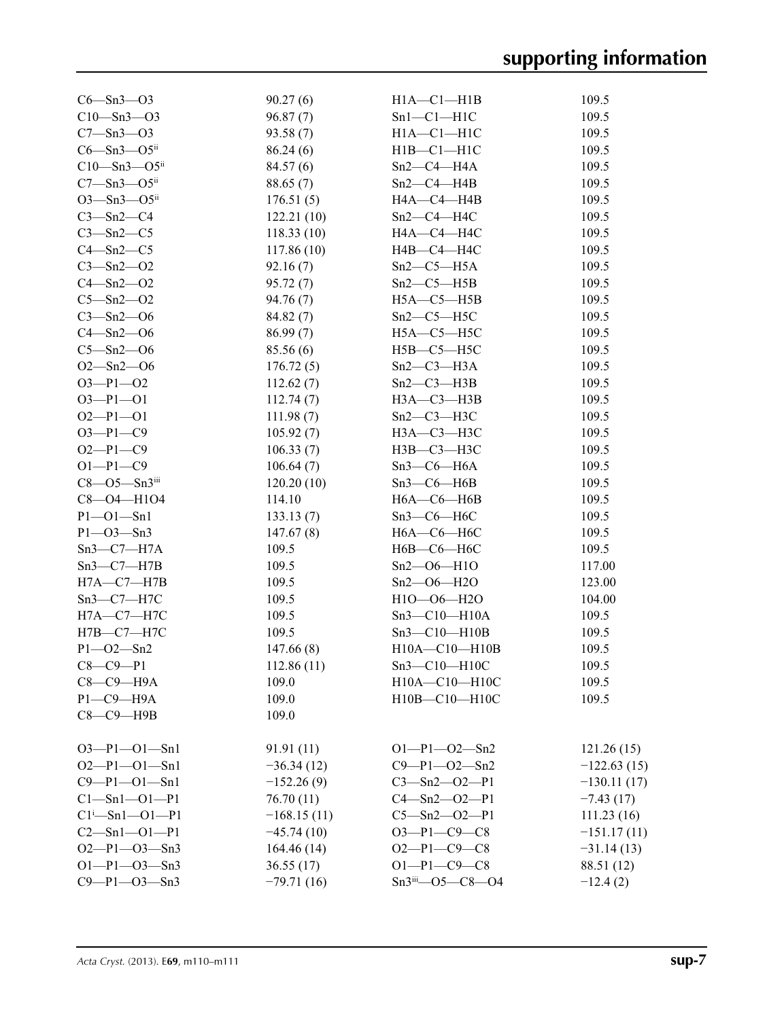| $C6 - Sn3 - O3$                    | 90.27(6)      | $H1A - C1 - H1B$     | 109.5         |
|------------------------------------|---------------|----------------------|---------------|
| $C10 - Sn3 - O3$                   | 96.87(7)      | $Sn1-C1-H1C$         | 109.5         |
| $C7 - Sn3 - O3$                    | 93.58(7)      | $H1A - C1 - H1C$     | 109.5         |
| $C6 - Sn3 - O5$ ii                 | 86.24(6)      | $H1B - C1 - H1C$     | 109.5         |
| $C10 - Sn3 - O5$ ii                | 84.57(6)      | $Sn2-C4-H4A$         | 109.5         |
| $C7 - Sn3 - O5$ <sup>ii</sup>      | 88.65(7)      | $Sn2-C4-H4B$         | 109.5         |
| $O3 - Sn3 - O5$ <sup>ii</sup>      | 176.51(5)     | HA—C4—H4B            | 109.5         |
| $C3 - Sn2 - C4$                    | 122.21(10)    | $Sn2-C4-H4C$         | 109.5         |
| $C3 - Sn2 - C5$                    | 118.33(10)    | H4A-C4-H4C           | 109.5         |
| $C4 - Sn2 - C5$                    | 117.86(10)    | H4B-C4-H4C           | 109.5         |
| $C3 - Sn2 - O2$                    | 92.16(7)      | $Sn2-C5-H5A$         | 109.5         |
| $C4 - Sn2 - O2$                    | 95.72(7)      | $Sn2-C5-H5B$         | 109.5         |
| $C5 - Sn2 - O2$                    | 94.76(7)      | $H5A - C5 - H5B$     | 109.5         |
| $C3 - Sn2 - O6$                    |               | $Sn2-C5-H5C$         | 109.5         |
|                                    | 84.82(7)      |                      |               |
| $C4 - Sn2 - O6$<br>$C5 - Sn2 - O6$ | 86.99(7)      | $H5A-C5-H5C$         | 109.5         |
|                                    | 85.56 (6)     | $H5B-C5-H5C$         | 109.5         |
| $O2 - Sn2 - O6$                    | 176.72(5)     | $Sn2-C3-H3A$         | 109.5         |
| $O3 - P1 - O2$                     | 112.62(7)     | $Sn2-C3-H3B$         | 109.5         |
| $O3 - P1 - O1$                     | 112.74(7)     | $H3A - C3 - H3B$     | 109.5         |
| $O2-P1-O1$                         | 111.98(7)     | $Sn2-C3-H3C$         | 109.5         |
| $O3 - P1 - C9$                     | 105.92(7)     | $H3A-C3-H3C$         | 109.5         |
| $O2-P1-C9$                         | 106.33(7)     | $H3B$ — $C3$ — $H3C$ | 109.5         |
| $O1-P1-C9$                         | 106.64(7)     | $Sn3-C6-H6A$         | 109.5         |
| $C8 - O5 - Sn3iii$                 | 120.20(10)    | $Sn3-C6-H6B$         | 109.5         |
| C8-04-H104                         | 114.10        | $H6A - C6 - H6B$     | 109.5         |
| $P1 - O1 - Sn1$                    | 133.13(7)     | $Sn3-C6-H6C$         | 109.5         |
| $P1 - O3 - Sn3$                    | 147.67(8)     | $H6A-C6-H6C$         | 109.5         |
| $Sn3-C7-H7A$                       | 109.5         | Н6В-С6-Н6С           | 109.5         |
| $Sn3-C7-H7B$                       | 109.5         | $Sn2 - O6 - H1O$     | 117.00        |
| $H7A - C7 - H7B$                   | 109.5         | $Sn2 - O6 - H2O$     | 123.00        |
| $Sn3-C7-H7C$                       | 109.5         | H1O-06-H2O           | 104.00        |
| $H7A - C7 - H7C$                   | 109.5         | $Sn3-C10-H10A$       | 109.5         |
| $H7B-C7-H7C$                       | 109.5         | $Sn3-C10-H10B$       | 109.5         |
| $P1 - O2 - Sn2$                    | 147.66(8)     | $H10A - C10 - H10B$  | 109.5         |
| $C8-C9-P1$                         | 112.86(11)    | Sn3—C10—H10C         | 109.5         |
| $C8-C9-H9A$                        | 109.0         | H10A-C10-H10C        | 109.5         |
| $P1 - C9 - H9A$                    | 109.0         | H10B-C10-H10C        | 109.5         |
| $C8-C9-$ H9B                       | 109.0         |                      |               |
|                                    |               |                      |               |
| $O3-P1-O1-Sn1$                     | 91.91(11)     | $O1-P1-O2-Sn2$       | 121.26(15)    |
| $O2-P1-O1-Sn1$                     | $-36.34(12)$  | $C9 - P1 - O2 - Sn2$ | $-122.63(15)$ |
| $C9 - P1 - O1 - Sn1$               | $-152.26(9)$  | $C3 - Sn2 - O2 - P1$ | $-130.11(17)$ |
| $Cl - Sn1 - O1 - P1$               | 76.70(11)     | $C4 - Sn2 - O2 - P1$ | $-7.43(17)$   |
| $Cl^{i}$ -Sn $1$ --O $1$ --P1      | $-168.15(11)$ | $C5 - Sn2 - O2 - P1$ | 111.23(16)    |
| $C2 - Sn1 - O1 - P1$               | $-45.74(10)$  | $O3-P1-C9-C8$        | $-151.17(11)$ |
| $O2-P1-O3-Sn3$                     | 164.46(14)    | $O2-P1-C9-C8$        | $-31.14(13)$  |
| $O1-P1-O3-Sn3$                     | 36.55(17)     | $O1-P1-C9-C8$        | 88.51 (12)    |
| $C9 - P1 - O3 - Sn3$               | $-79.71(16)$  | Sn3iii-05-C8-04      | $-12.4(2)$    |
|                                    |               |                      |               |